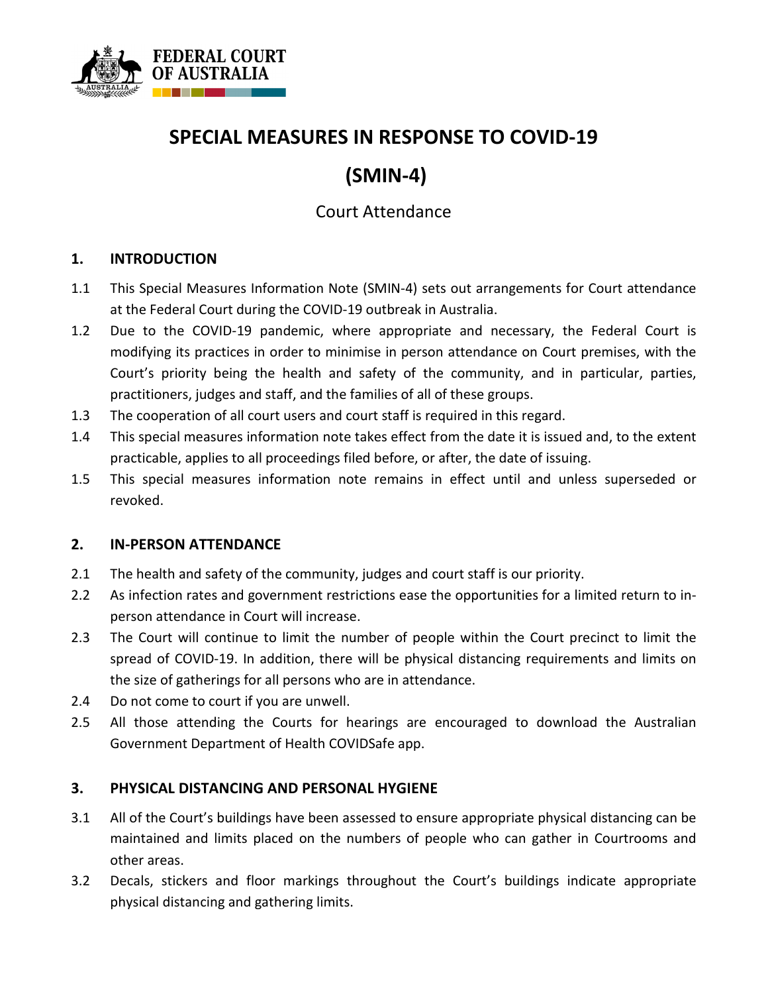

## **SPECIAL MEASURES IN RESPONSE TO COVID-19**

# **(SMIN-4)**

### Court Attendance

#### **1. INTRODUCTION**

- 1.1 This Special Measures Information Note (SMIN-4) sets out arrangements for Court attendance at the Federal Court during the COVID-19 outbreak in Australia.
- 1.2 Due to the COVID-19 pandemic, where appropriate and necessary, the Federal Court is modifying its practices in order to minimise in person attendance on Court premises, with the Court's priority being the health and safety of the community, and in particular, parties, practitioners, judges and staff, and the families of all of these groups.
- 1.3 The cooperation of all court users and court staff is required in this regard.
- 1.4 This special measures information note takes effect from the date it is issued and, to the extent practicable, applies to all proceedings filed before, or after, the date of issuing.
- 1.5 This special measures information note remains in effect until and unless superseded or revoked.

#### **2. IN-PERSON ATTENDANCE**

- 2.1 The health and safety of the community, judges and court staff is our priority.
- 2.2 As infection rates and government restrictions ease the opportunities for a limited return to inperson attendance in Court will increase.
- 2.3 The Court will continue to limit the number of people within the Court precinct to limit the spread of COVID-19. In addition, there will be physical distancing requirements and limits on the size of gatherings for all persons who are in attendance.
- 2.4 Do not come to court if you are unwell.
- 2.5 All those attending the Courts for hearings are encouraged to download the Australian Government Department of Health COVIDSafe app.

#### **3. PHYSICAL DISTANCING AND PERSONAL HYGIENE**

- 3.1 All of the Court's buildings have been assessed to ensure appropriate physical distancing can be maintained and limits placed on the numbers of people who can gather in Courtrooms and other areas.
- 3.2 Decals, stickers and floor markings throughout the Court's buildings indicate appropriate physical distancing and gathering limits.